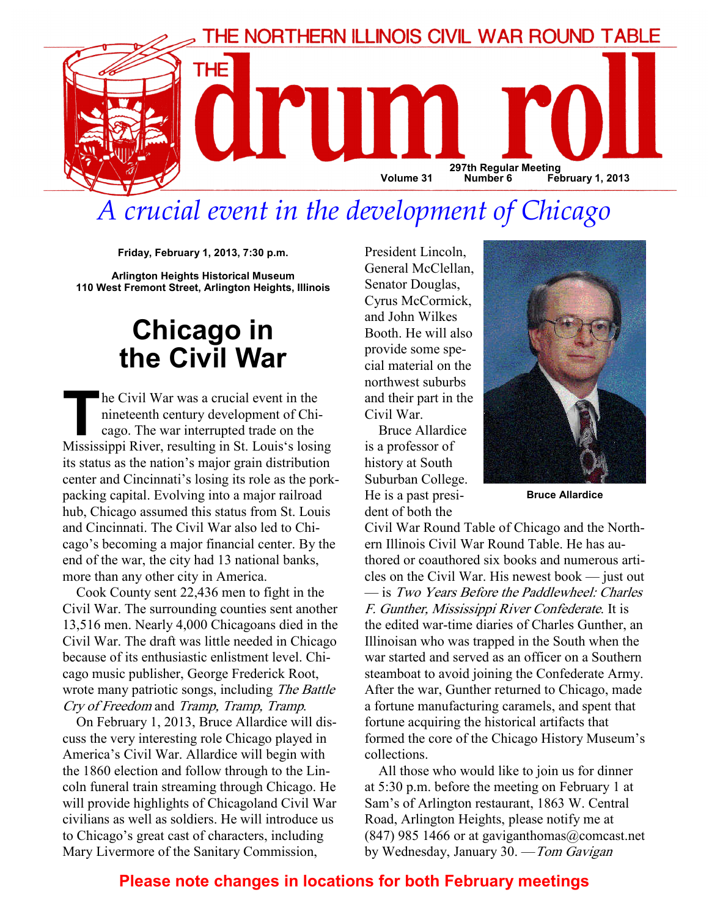

# A crucial event in the development of Chicago

Friday, February 1, 2013, 7:30 p.m.

Arlington Heights Historical Museum 110 West Fremont Street, Arlington Heights, Illinois

# Chicago in the Civil War

The Civil War was a crucial event in the<br>nineteenth century development of Chi-<br>cago. The war interrupted trade on the<br>Mississippi River resulting in St Louis's losin nineteenth century development of Chicago. The war interrupted trade on the Mississippi River, resulting in St. Louis's losing its status as the nation's major grain distribution center and Cincinnati's losing its role as the porkpacking capital. Evolving into a major railroad hub, Chicago assumed this status from St. Louis and Cincinnati. The Civil War also led to Chicago's becoming a major financial center. By the end of the war, the city had 13 national banks, more than any other city in America.

Cook County sent 22,436 men to fight in the Civil War. The surrounding counties sent another 13,516 men. Nearly 4,000 Chicagoans died in the Civil War. The draft was little needed in Chicago because of its enthusiastic enlistment level. Chicago music publisher, George Frederick Root, wrote many patriotic songs, including The Battle Cry of Freedom and Tramp, Tramp, Tramp.

On February 1, 2013, Bruce Allardice will discuss the very interesting role Chicago played in America's Civil War. Allardice will begin with the 1860 election and follow through to the Lincoln funeral train streaming through Chicago. He will provide highlights of Chicagoland Civil War civilians as well as soldiers. He will introduce us to Chicago's great cast of characters, including Mary Livermore of the Sanitary Commission,

President Lincoln, General McClellan, Senator Douglas, Cyrus McCormick, and John Wilkes Booth. He will also provide some special material on the northwest suburbs and their part in the Civil War.

Bruce Allardice is a professor of history at South Suburban College. He is a past president of both the



Bruce Allardice

Civil War Round Table of Chicago and the Northern Illinois Civil War Round Table. He has authored or coauthored six books and numerous articles on the Civil War. His newest book — just out — is Two Years Before the Paddlewheel: Charles F. Gunther, Mississippi River Confederate. It is the edited war-time diaries of Charles Gunther, an Illinoisan who was trapped in the South when the war started and served as an officer on a Southern steamboat to avoid joining the Confederate Army. After the war, Gunther returned to Chicago, made a fortune manufacturing caramels, and spent that fortune acquiring the historical artifacts that formed the core of the Chicago History Museum's collections.

All those who would like to join us for dinner at 5:30 p.m. before the meeting on February 1 at Sam's of Arlington restaurant, 1863 W. Central Road, Arlington Heights, please notify me at  $(847)$  985 1466 or at gaviganthomas $@$ comcast.net by Wednesday, January 30. —Tom Gavigan

# Please note changes in locations for both February meetings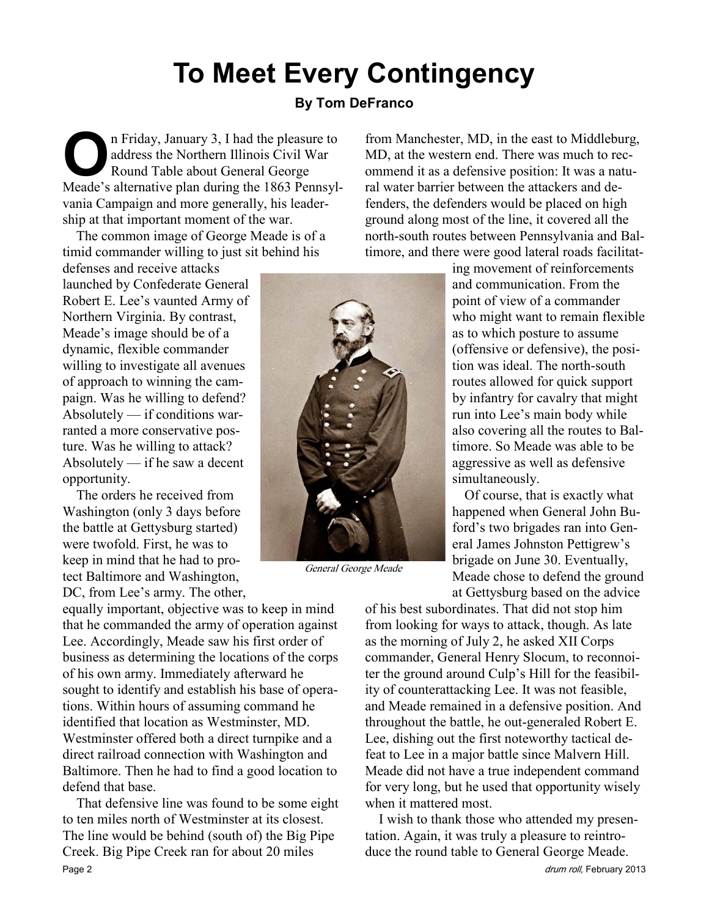# To Meet Every Contingency

## By Tom DeFranco

O n Friday, January 3, I had the pleasure to address the Northern Illinois Civil War Round Table about General George Meade's alternative plan during the 1863 Pennsylvania Campaign and more generally, his leadership at that important moment of the war.

The common image of George Meade is of a timid commander willing to just sit behind his

defenses and receive attacks launched by Confederate General Robert E. Lee's vaunted Army of Northern Virginia. By contrast, Meade's image should be of a dynamic, flexible commander willing to investigate all avenues of approach to winning the campaign. Was he willing to defend? Absolutely — if conditions warranted a more conservative posture. Was he willing to attack? Absolutely — if he saw a decent opportunity.

The orders he received from Washington (only 3 days before the battle at Gettysburg started) were twofold. First, he was to keep in mind that he had to protect Baltimore and Washington,

DC, from Lee's army. The other,

equally important, objective was to keep in mind that he commanded the army of operation against Lee. Accordingly, Meade saw his first order of business as determining the locations of the corps of his own army. Immediately afterward he sought to identify and establish his base of operations. Within hours of assuming command he identified that location as Westminster, MD. Westminster offered both a direct turnpike and a direct railroad connection with Washington and Baltimore. Then he had to find a good location to defend that base.

That defensive line was found to be some eight to ten miles north of Westminster at its closest. The line would be behind (south of) the Big Pipe Creek. Big Pipe Creek ran for about 20 miles Page 2 drum roll, February 2013



General George Meade

from Manchester, MD, in the east to Middleburg, MD, at the western end. There was much to recommend it as a defensive position: It was a natural water barrier between the attackers and defenders, the defenders would be placed on high ground along most of the line, it covered all the north-south routes between Pennsylvania and Baltimore, and there were good lateral roads facilitat-

> ing movement of reinforcements and communication. From the point of view of a commander who might want to remain flexible as to which posture to assume (offensive or defensive), the position was ideal. The north-south routes allowed for quick support by infantry for cavalry that might run into Lee's main body while also covering all the routes to Baltimore. So Meade was able to be aggressive as well as defensive simultaneously.

> Of course, that is exactly what happened when General John Buford's two brigades ran into General James Johnston Pettigrew's brigade on June 30. Eventually, Meade chose to defend the ground at Gettysburg based on the advice

of his best subordinates. That did not stop him from looking for ways to attack, though. As late as the morning of July 2, he asked XII Corps commander, General Henry Slocum, to reconnoiter the ground around Culp's Hill for the feasibility of counterattacking Lee. It was not feasible, and Meade remained in a defensive position. And throughout the battle, he out-generaled Robert E. Lee, dishing out the first noteworthy tactical defeat to Lee in a major battle since Malvern Hill. Meade did not have a true independent command for very long, but he used that opportunity wisely when it mattered most.

I wish to thank those who attended my presentation. Again, it was truly a pleasure to reintroduce the round table to General George Meade.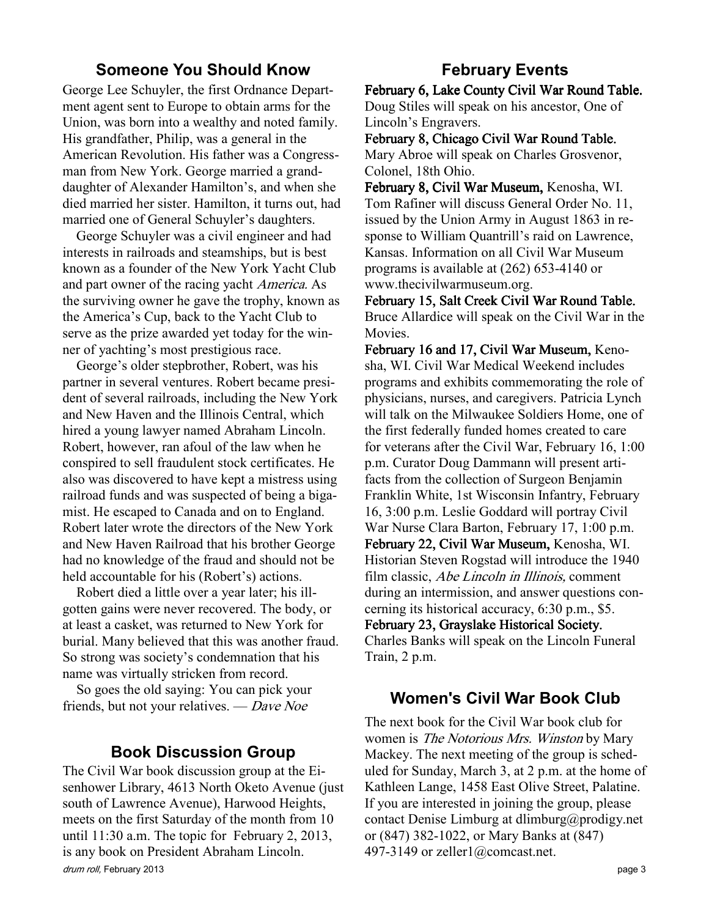### Someone You Should Know

George Lee Schuyler, the first Ordnance Department agent sent to Europe to obtain arms for the Union, was born into a wealthy and noted family. His grandfather, Philip, was a general in the American Revolution. His father was a Congressman from New York. George married a granddaughter of Alexander Hamilton's, and when she died married her sister. Hamilton, it turns out, had married one of General Schuyler's daughters.

George Schuyler was a civil engineer and had interests in railroads and steamships, but is best known as a founder of the New York Yacht Club and part owner of the racing yacht America. As the surviving owner he gave the trophy, known as the America's Cup, back to the Yacht Club to serve as the prize awarded yet today for the winner of yachting's most prestigious race.

George's older stepbrother, Robert, was his partner in several ventures. Robert became president of several railroads, including the New York and New Haven and the Illinois Central, which hired a young lawyer named Abraham Lincoln. Robert, however, ran afoul of the law when he conspired to sell fraudulent stock certificates. He also was discovered to have kept a mistress using railroad funds and was suspected of being a bigamist. He escaped to Canada and on to England. Robert later wrote the directors of the New York and New Haven Railroad that his brother George had no knowledge of the fraud and should not be held accountable for his (Robert's) actions.

Robert died a little over a year later; his illgotten gains were never recovered. The body, or at least a casket, was returned to New York for burial. Many believed that this was another fraud. So strong was society's condemnation that his name was virtually stricken from record.

So goes the old saying: You can pick your friends, but not your relatives. — Dave Noe

### Book Discussion Group

drum roll, February 2013 **page 3** The Civil War book discussion group at the Eisenhower Library, 4613 North Oketo Avenue (just south of Lawrence Avenue), Harwood Heights, meets on the first Saturday of the month from 10 until 11:30 a.m. The topic for February 2, 2013, is any book on President Abraham Lincoln.

# February Events

February 6, Lake County Civil War Round Table. Doug Stiles will speak on his ancestor, One of Lincoln's Engravers.

February 8, Chicago Civil War Round Table. Mary Abroe will speak on Charles Grosvenor, Colonel, 18th Ohio.

February 8, Civil War Museum, Kenosha, WI. Tom Rafiner will discuss General Order No. 11, issued by the Union Army in August 1863 in response to William Quantrill's raid on Lawrence, Kansas. Information on all Civil War Museum programs is available at (262) 653-4140 or www.thecivilwarmuseum.org.

February 15, Salt Creek Civil War Round Table. Bruce Allardice will speak on the Civil War in the **Movies** 

February 16 and 17, Civil War Museum, Kenosha, WI. Civil War Medical Weekend includes programs and exhibits commemorating the role of physicians, nurses, and caregivers. Patricia Lynch will talk on the Milwaukee Soldiers Home, one of the first federally funded homes created to care for veterans after the Civil War, February 16, 1:00 p.m. Curator Doug Dammann will present artifacts from the collection of Surgeon Benjamin Franklin White, 1st Wisconsin Infantry, February 16, 3:00 p.m. Leslie Goddard will portray Civil War Nurse Clara Barton, February 17, 1:00 p.m. February 22, Civil War Museum, Kenosha, WI. Historian Steven Rogstad will introduce the 1940 film classic, Abe Lincoln in Illinois, comment during an intermission, and answer questions concerning its historical accuracy, 6:30 p.m., \$5. February 23, Grayslake Historical Society. Charles Banks will speak on the Lincoln Funeral

Train, 2 p.m.

#### Women's Civil War Book Club

The next book for the Civil War book club for women is *The Notorious Mrs. Winston* by Mary Mackey. The next meeting of the group is scheduled for Sunday, March 3, at 2 p.m. at the home of Kathleen Lange, 1458 East Olive Street, Palatine. If you are interested in joining the group, please contact Denise Limburg at dlimburg@prodigy.net or (847) 382-1022, or Mary Banks at (847) 497-3149 or zeller1@comcast.net.